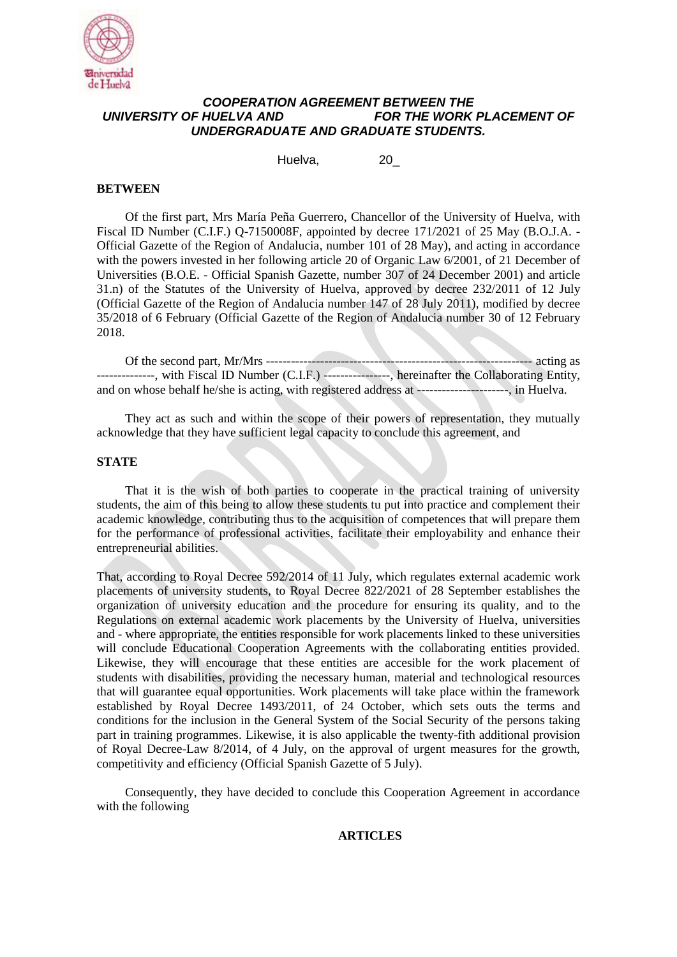

## *COOPERATION AGREEMENT BETWEEN THE UNIVERSITY OF HUELVA AND FOR THE WORK PLACEMENT OF UNDERGRADUATE AND GRADUATE STUDENTS.*

Huelva, 20\_

## **BETWEEN**

Of the first part, Mrs María Peña Guerrero, Chancellor of the University of Huelva, with Fiscal ID Number (C.I.F.) Q-7150008F, appointed by decree 171/2021 of 25 May (B.O.J.A. - Official Gazette of the Region of Andalucia, number 101 of 28 May), and acting in accordance with the powers invested in her following article 20 of Organic Law 6/2001, of 21 December of Universities (B.O.E. - Official Spanish Gazette, number 307 of 24 December 2001) and article 31.n) of the Statutes of the University of Huelva, approved by decree 232/2011 of 12 July (Official Gazette of the Region of Andalucia number 147 of 28 July 2011), modified by decree 35/2018 of 6 February (Official Gazette of the Region of Andalucia number 30 of 12 February 2018.

Of the second part, Mr/Mrs ---------------------------------------------------------------- acting as --------------, with Fiscal ID Number (C.I.F.) ----------------, hereinafter the Collaborating Entity, and on whose behalf he/she is acting, with registered address at ----------------------, in Huelva.

They act as such and within the scope of their powers of representation, they mutually acknowledge that they have sufficient legal capacity to conclude this agreement, and

## **STATE**

That it is the wish of both parties to cooperate in the practical training of university students, the aim of this being to allow these students tu put into practice and complement their academic knowledge, contributing thus to the acquisition of competences that will prepare them for the performance of professional activities, facilitate their employability and enhance their entrepreneurial abilities.

That, according to Royal Decree 592/2014 of 11 July, which regulates external academic work placements of university students, to Royal Decree 822/2021 of 28 September establishes the organization of university education and the procedure for ensuring its quality, and to the Regulations on external academic work placements by the University of Huelva, universities and - where appropriate, the entities responsible for work placements linked to these universities will conclude Educational Cooperation Agreements with the collaborating entities provided. Likewise, they will encourage that these entities are accesible for the work placement of students with disabilities, providing the necessary human, material and technological resources that will guarantee equal opportunities. Work placements will take place within the framework established by Royal Decree 1493/2011, of 24 October, which sets outs the terms and conditions for the inclusion in the General System of the Social Security of the persons taking part in training programmes. Likewise, it is also applicable the twenty-fith additional provision of Royal Decree-Law 8/2014, of 4 July, on the approval of urgent measures for the growth, competitivity and efficiency (Official Spanish Gazette of 5 July).

Consequently, they have decided to conclude this Cooperation Agreement in accordance with the following

**ARTICLES**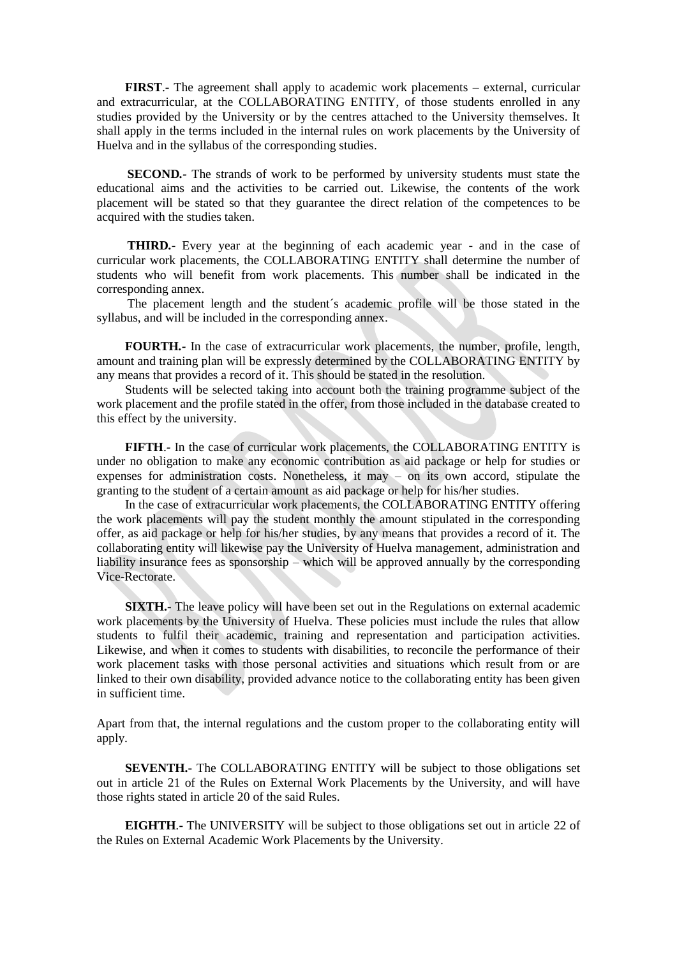**FIRST**.- The agreement shall apply to academic work placements – external, curricular and extracurricular, at the COLLABORATING ENTITY, of those students enrolled in any studies provided by the University or by the centres attached to the University themselves. It shall apply in the terms included in the internal rules on work placements by the University of Huelva and in the syllabus of the corresponding studies.

**SECOND***.-* The strands of work to be performed by university students must state the educational aims and the activities to be carried out. Likewise, the contents of the work placement will be stated so that they guarantee the direct relation of the competences to be acquired with the studies taken.

**THIRD***.*- Every year at the beginning of each academic year - and in the case of curricular work placements, the COLLABORATING ENTITY shall determine the number of students who will benefit from work placements. This number shall be indicated in the corresponding annex.

The placement length and the student´s academic profile will be those stated in the syllabus, and will be included in the corresponding annex.

**FOURTH***.-* In the case of extracurricular work placements, the number, profile, length, amount and training plan will be expressly determined by the COLLABORATING ENTITY by any means that provides a record of it. This should be stated in the resolution.

Students will be selected taking into account both the training programme subject of the work placement and the profile stated in the offer, from those included in the database created to this effect by the university.

**FIFTH**.*-* In the case of curricular work placements, the COLLABORATING ENTITY is under no obligation to make any economic contribution as aid package or help for studies or expenses for administration costs. Nonetheless, it may – on its own accord, stipulate the granting to the student of a certain amount as aid package or help for his/her studies.

In the case of extracurricular work placements, the COLLABORATING ENTITY offering the work placements will pay the student monthly the amount stipulated in the corresponding offer, as aid package or help for his/her studies, by any means that provides a record of it. The collaborating entity will likewise pay the University of Huelva management, administration and liability insurance fees as sponsorship – which will be approved annually by the corresponding Vice-Rectorate.

**SIXTH.-** The leave policy will have been set out in the Regulations on external academic work placements by the University of Huelva. These policies must include the rules that allow students to fulfil their academic, training and representation and participation activities. Likewise, and when it comes to students with disabilities, to reconcile the performance of their work placement tasks with those personal activities and situations which result from or are linked to their own disability, provided advance notice to the collaborating entity has been given in sufficient time.

Apart from that, the internal regulations and the custom proper to the collaborating entity will apply.

**SEVENTH.-** The COLLABORATING ENTITY will be subject to those obligations set out in article 21 of the Rules on External Work Placements by the University, and will have those rights stated in article 20 of the said Rules.

**EIGHTH***.***-** The UNIVERSITY will be subject to those obligations set out in article 22 of the Rules on External Academic Work Placements by the University.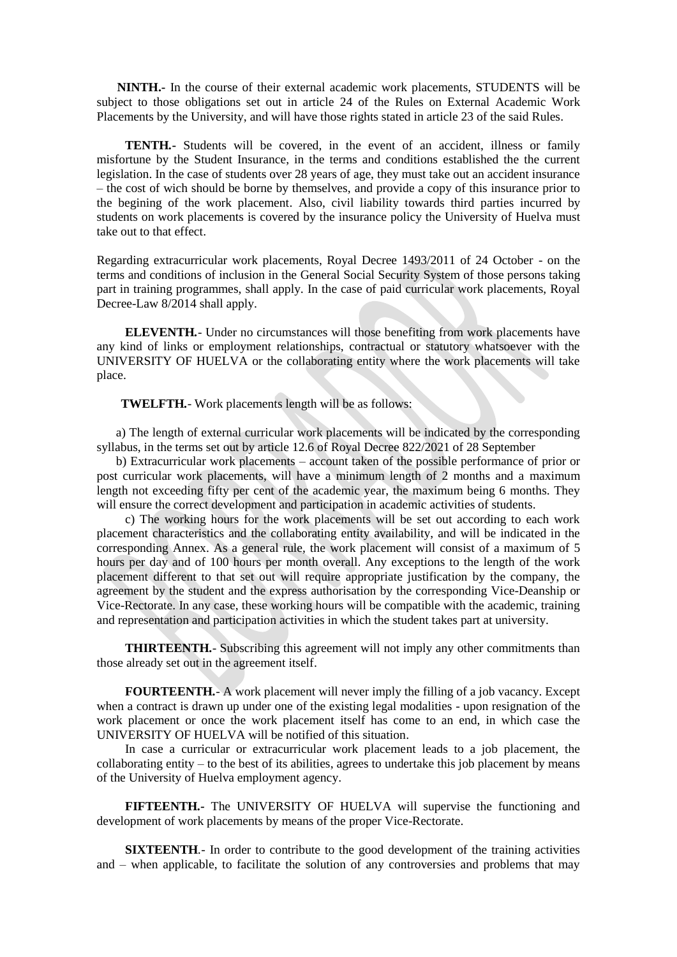**NINTH.-** In the course of their external academic work placements, STUDENTS will be subject to those obligations set out in article 24 of the Rules on External Academic Work Placements by the University, and will have those rights stated in article 23 of the said Rules.

**TENTH***.***-** Students will be covered, in the event of an accident, illness or family misfortune by the Student Insurance, in the terms and conditions established the the current legislation. In the case of students over 28 years of age, they must take out an accident insurance – the cost of wich should be borne by themselves, and provide a copy of this insurance prior to the begining of the work placement. Also, civil liability towards third parties incurred by students on work placements is covered by the insurance policy the University of Huelva must take out to that effect.

Regarding extracurricular work placements, Royal Decree 1493/2011 of 24 October - on the terms and conditions of inclusion in the General Social Security System of those persons taking part in training programmes, shall apply. In the case of paid curricular work placements, Royal Decree-Law 8/2014 shall apply.

**ELEVENTH***.*- Under no circumstances will those benefiting from work placements have any kind of links or employment relationships, contractual or statutory whatsoever with the UNIVERSITY OF HUELVA or the collaborating entity where the work placements will take place.

**TWELFTH***.*- Work placements length will be as follows:

a) The length of external curricular work placements will be indicated by the corresponding syllabus, in the terms set out by article 12.6 of Royal Decree 822/2021 of 28 September

b) Extracurricular work placements – account taken of the possible performance of prior or post curricular work placements, will have a minimum length of 2 months and a maximum length not exceeding fifty per cent of the academic year, the maximum being 6 months. They will ensure the correct development and participation in academic activities of students.

c) The working hours for the work placements will be set out according to each work placement characteristics and the collaborating entity availability, and will be indicated in the corresponding Annex. As a general rule, the work placement will consist of a maximum of 5 hours per day and of 100 hours per month overall. Any exceptions to the length of the work placement different to that set out will require appropriate justification by the company, the agreement by the student and the express authorisation by the corresponding Vice-Deanship or Vice-Rectorate. In any case, these working hours will be compatible with the academic, training and representation and participation activities in which the student takes part at university.

**THIRTEENTH***.*- Subscribing this agreement will not imply any other commitments than those already set out in the agreement itself.

**FOURTEENTH***.*- A work placement will never imply the filling of a job vacancy. Except when a contract is drawn up under one of the existing legal modalities - upon resignation of the work placement or once the work placement itself has come to an end, in which case the UNIVERSITY OF HUELVA will be notified of this situation.

In case a curricular or extracurricular work placement leads to a job placement, the collaborating entity – to the best of its abilities, agrees to undertake this job placement by means of the University of Huelva employment agency.

**FIFTEENTH***.-* The UNIVERSITY OF HUELVA will supervise the functioning and development of work placements by means of the proper Vice-Rectorate.

**SIXTEENTH***.*- In order to contribute to the good development of the training activities and – when applicable, to facilitate the solution of any controversies and problems that may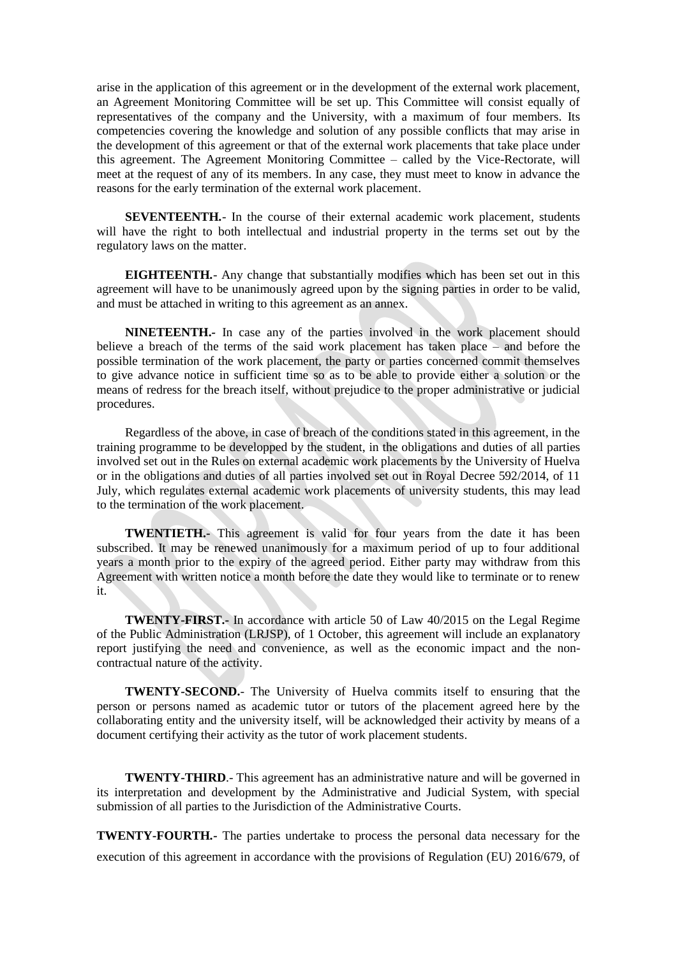arise in the application of this agreement or in the development of the external work placement, an Agreement Monitoring Committee will be set up. This Committee will consist equally of representatives of the company and the University, with a maximum of four members. Its competencies covering the knowledge and solution of any possible conflicts that may arise in the development of this agreement or that of the external work placements that take place under this agreement. The Agreement Monitoring Committee – called by the Vice-Rectorate, will meet at the request of any of its members. In any case, they must meet to know in advance the reasons for the early termination of the external work placement.

**SEVENTEENTH***.*- In the course of their external academic work placement, students will have the right to both intellectual and industrial property in the terms set out by the regulatory laws on the matter.

**EIGHTEENTH***.*- Any change that substantially modifies which has been set out in this agreement will have to be unanimously agreed upon by the signing parties in order to be valid, and must be attached in writing to this agreement as an annex.

**NINETEENTH.***-* In case any of the parties involved in the work placement should believe a breach of the terms of the said work placement has taken place – and before the possible termination of the work placement, the party or parties concerned commit themselves to give advance notice in sufficient time so as to be able to provide either a solution or the means of redress for the breach itself, without prejudice to the proper administrative or judicial procedures.

Regardless of the above, in case of breach of the conditions stated in this agreement, in the training programme to be developped by the student, in the obligations and duties of all parties involved set out in the Rules on external academic work placements by the University of Huelva or in the obligations and duties of all parties involved set out in Royal Decree 592/2014, of 11 July, which regulates external academic work placements of university students, this may lead to the termination of the work placement.

**TWENTIETH.-** This agreement is valid for four years from the date it has been subscribed. It may be renewed unanimously for a maximum period of up to four additional years a month prior to the expiry of the agreed period. Either party may withdraw from this Agreement with written notice a month before the date they would like to terminate or to renew it.

**TWENTY-FIRST.-** In accordance with article 50 of Law 40/2015 on the Legal Regime of the Public Administration (LRJSP), of 1 October, this agreement will include an explanatory report justifying the need and convenience, as well as the economic impact and the noncontractual nature of the activity.

**TWENTY-SECOND.**- The University of Huelva commits itself to ensuring that the person or persons named as academic tutor or tutors of the placement agreed here by the collaborating entity and the university itself, will be acknowledged their activity by means of a document certifying their activity as the tutor of work placement students.

**TWENTY-THIRD.**- This agreement has an administrative nature and will be governed in its interpretation and development by the Administrative and Judicial System, with special submission of all parties to the Jurisdiction of the Administrative Courts.

**TWENTY-FOURTH***.-* The parties undertake to process the personal data necessary for the execution of this agreement in accordance with the provisions of Regulation (EU) 2016/679, of